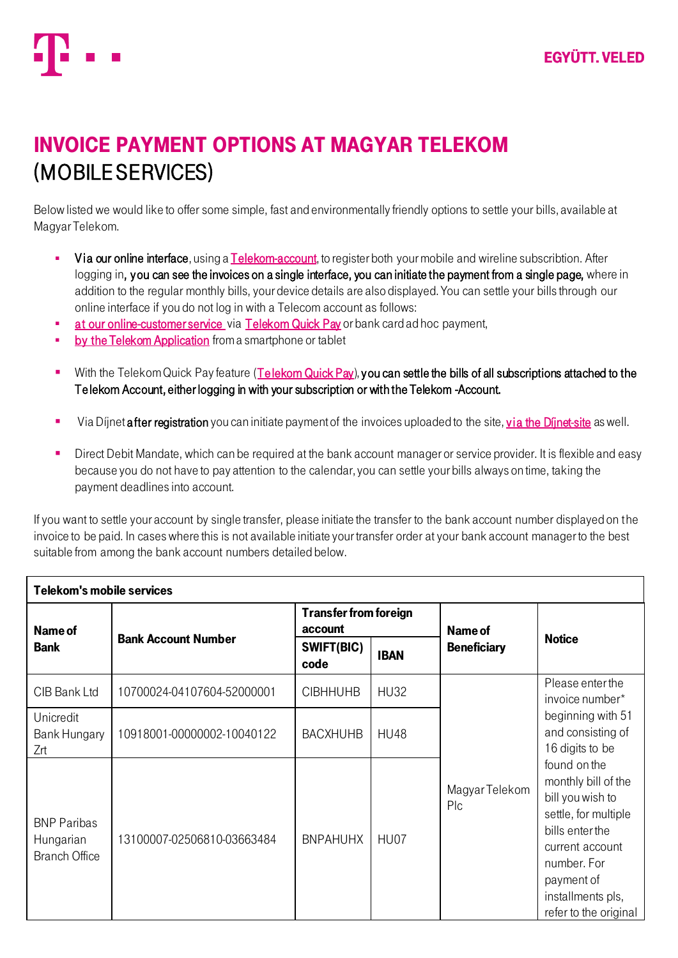

## Invoice Payment Options at Magyar Telekom (Mobile Services)

Below listed we would like to offer some simple, fast and environmentally friendly options to settle your bills, available at Magyar Telekom.

- **•** Via our online interface, using [a Telekom-account,](https://www.telekom.hu/telekomfiok/regisztracio?49) to register both your mobile and wireline subscribtion. After logging in, you can see the invoices on a single interface, you can initiate the payment from a single page, where in addition to the regular monthly bills, your device details are also displayed. You can settle your bills through our online interface if you do not log in with a Telecom account as follows:
- at our [online-customer service](https://www.telekom.hu/telekomfiok/belepes) via [Telekom Quick Pay](https://www.telekom.hu/lakossagi/ugyintezes/szamlazas-egyenleg-befizetes/telekom-gyorsfizetes) or bank card ad hoc payment,
- [by the Telekom Application](http://www.telekom.hu/lakossagi/ugyintezes/elerhetosegek/telekom-alkalmazas) from a smartphone or tablet
- With the Telekom Quick Pay feature [\(Telekom Quick Pay](https://www.telekom.hu/lakossagi/ugyintezes/szamlazas-egyenleg-befizetes/telekom-gyorsfizetes)), you can settle the bills of all subscriptions attached to the Telekom Account, either logging in with your subscription or with the Telekom -Account.
- Via Díjnet after registration you can initiate payment of the invoices uploaded to the site, [via the Díjnet](https://www.dijnet.hu/)-site as well.
- Direct Debit Mandate, which can be required at the bank account manager or service provider. It is flexible and easy because you do not have to pay attention to the calendar, you can settle your bills always on time, taking the payment deadlines into account.

If you want to settle your account by single transfer, please initiate the transfer to the bank account number displayed on the invoice to be paid. In cases where this is not available initiate your transfer order at your bank account manager to the best suitable from among the bank account numbers detailed below.

| Telekom's mobile services                               |                            |                                         |             |                       |                                                                                                                                                                                                                                                                                                      |  |  |  |  |
|---------------------------------------------------------|----------------------------|-----------------------------------------|-------------|-----------------------|------------------------------------------------------------------------------------------------------------------------------------------------------------------------------------------------------------------------------------------------------------------------------------------------------|--|--|--|--|
| Name of<br><b>Bank</b>                                  | <b>Bank Account Number</b> | <b>Transfer from foreign</b><br>account |             | Name of               |                                                                                                                                                                                                                                                                                                      |  |  |  |  |
|                                                         |                            | SWIFT(BIC)<br>code                      | <b>IBAN</b> | <b>Beneficiary</b>    | <b>Notice</b>                                                                                                                                                                                                                                                                                        |  |  |  |  |
| CIB Bank Ltd                                            | 10700024-04107604-52000001 | <b>CIBHHUHB</b>                         | <b>HU32</b> |                       | Please enter the<br>invoice number*<br>beginning with 51<br>and consisting of<br>16 digits to be<br>found on the<br>monthly bill of the<br>bill you wish to<br>settle, for multiple<br>bills enter the<br>current account<br>number. For<br>payment of<br>installments pls,<br>refer to the original |  |  |  |  |
| Unicredit<br>Bank Hungary<br>Zrt                        | 10918001-00000002-10040122 | <b>BACXHUHB</b>                         | <b>HU48</b> |                       |                                                                                                                                                                                                                                                                                                      |  |  |  |  |
| <b>BNP Paribas</b><br>Hungarian<br><b>Branch Office</b> | 13100007-02506810-03663484 | <b>BNPAHUHX</b>                         | HU07        | Magyar Telekom<br>Plc |                                                                                                                                                                                                                                                                                                      |  |  |  |  |